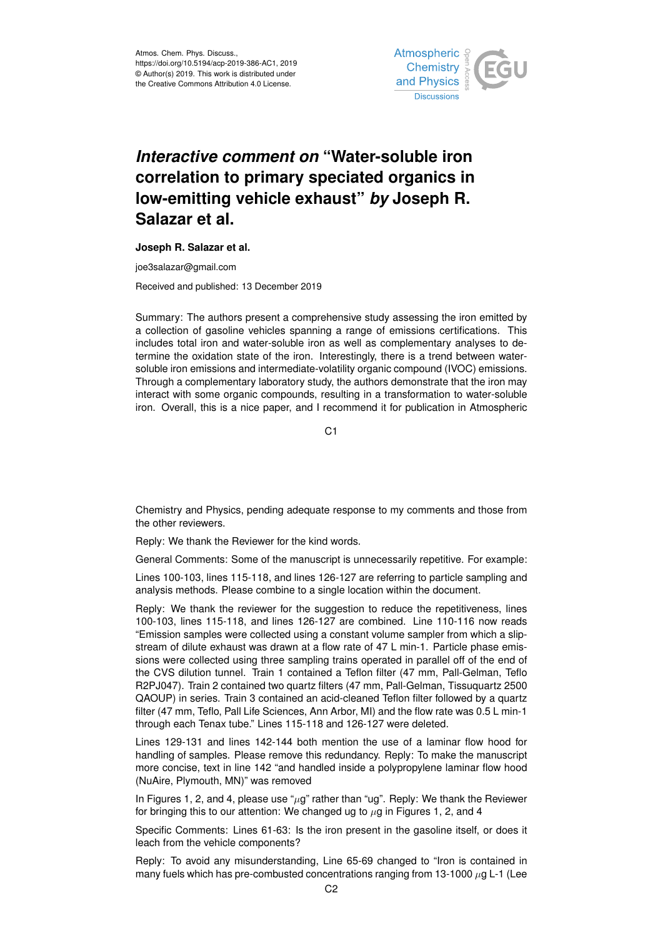

## *Interactive comment on* **"Water-soluble iron correlation to primary speciated organics in low-emitting vehicle exhaust"** *by* **Joseph R. Salazar et al.**

## **Joseph R. Salazar et al.**

joe3salazar@gmail.com

Received and published: 13 December 2019

Summary: The authors present a comprehensive study assessing the iron emitted by a collection of gasoline vehicles spanning a range of emissions certifications. This includes total iron and water-soluble iron as well as complementary analyses to determine the oxidation state of the iron. Interestingly, there is a trend between watersoluble iron emissions and intermediate-volatility organic compound (IVOC) emissions. Through a complementary laboratory study, the authors demonstrate that the iron may interact with some organic compounds, resulting in a transformation to water-soluble iron. Overall, this is a nice paper, and I recommend it for publication in Atmospheric

 $C<sub>1</sub>$ 

Chemistry and Physics, pending adequate response to my comments and those from the other reviewers.

Reply: We thank the Reviewer for the kind words.

General Comments: Some of the manuscript is unnecessarily repetitive. For example:

Lines 100-103, lines 115-118, and lines 126-127 are referring to particle sampling and analysis methods. Please combine to a single location within the document.

Reply: We thank the reviewer for the suggestion to reduce the repetitiveness, lines 100-103, lines 115-118, and lines 126-127 are combined. Line 110-116 now reads "Emission samples were collected using a constant volume sampler from which a slipstream of dilute exhaust was drawn at a flow rate of 47 L min-1. Particle phase emissions were collected using three sampling trains operated in parallel off of the end of the CVS dilution tunnel. Train 1 contained a Teflon filter (47 mm, Pall-Gelman, Teflo R2PJ047). Train 2 contained two quartz filters (47 mm, Pall-Gelman, Tissuquartz 2500 QAOUP) in series. Train 3 contained an acid-cleaned Teflon filter followed by a quartz filter (47 mm, Teflo, Pall Life Sciences, Ann Arbor, MI) and the flow rate was 0.5 L min-1 through each Tenax tube." Lines 115-118 and 126-127 were deleted.

Lines 129-131 and lines 142-144 both mention the use of a laminar flow hood for handling of samples. Please remove this redundancy. Reply: To make the manuscript more concise, text in line 142 "and handled inside a polypropylene laminar flow hood (NuAire, Plymouth, MN)" was removed

In Figures 1, 2, and 4, please use " $\mu$ g" rather than "ug". Reply: We thank the Reviewer for bringing this to our attention: We changed ug to  $\mu$ g in Figures 1, 2, and 4

Specific Comments: Lines 61-63: Is the iron present in the gasoline itself, or does it leach from the vehicle components?

Reply: To avoid any misunderstanding, Line 65-69 changed to "Iron is contained in many fuels which has pre-combusted concentrations ranging from 13-1000  $\mu$ g L-1 (Lee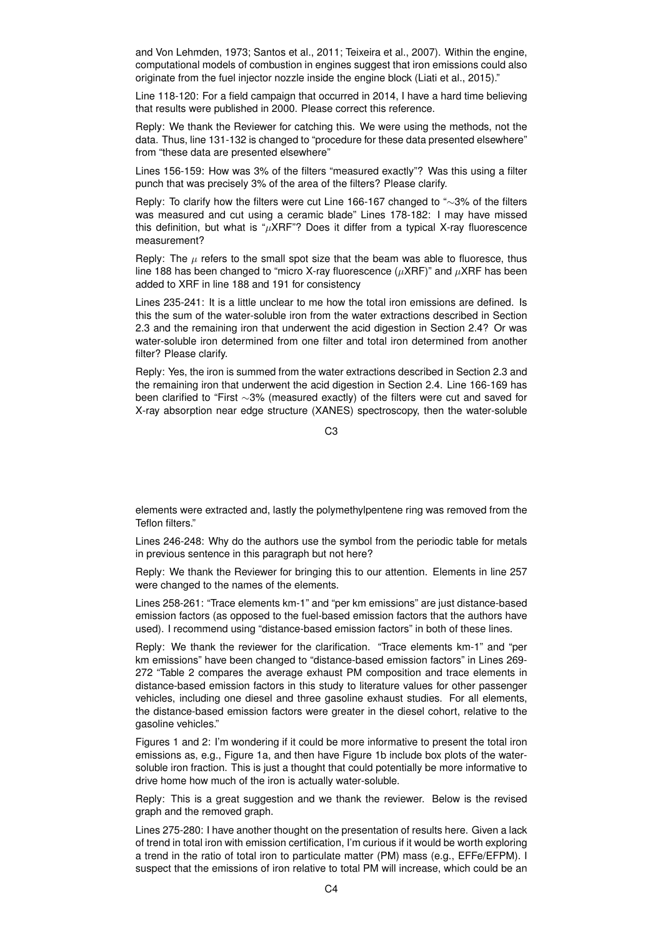and Von Lehmden, 1973; Santos et al., 2011; Teixeira et al., 2007). Within the engine, computational models of combustion in engines suggest that iron emissions could also originate from the fuel injector nozzle inside the engine block (Liati et al., 2015)."

Line 118-120: For a field campaign that occurred in 2014, I have a hard time believing that results were published in 2000. Please correct this reference.

Reply: We thank the Reviewer for catching this. We were using the methods, not the data. Thus, line 131-132 is changed to "procedure for these data presented elsewhere" from "these data are presented elsewhere"

Lines 156-159: How was 3% of the filters "measured exactly"? Was this using a filter punch that was precisely 3% of the area of the filters? Please clarify.

Reply: To clarify how the filters were cut Line 166-167 changed to "∼3% of the filters was measured and cut using a ceramic blade" Lines 178-182: I may have missed this definition, but what is " $\mu$ XRF"? Does it differ from a typical X-ray fluorescence measurement?

Reply: The  $\mu$  refers to the small spot size that the beam was able to fluoresce, thus line 188 has been changed to "micro X-ray fluorescence ( $\mu$ XRF)" and  $\mu$ XRF has been added to XRF in line 188 and 191 for consistency

Lines 235-241: It is a little unclear to me how the total iron emissions are defined. Is this the sum of the water-soluble iron from the water extractions described in Section 2.3 and the remaining iron that underwent the acid digestion in Section 2.4? Or was water-soluble iron determined from one filter and total iron determined from another filter? Please clarify.

Reply: Yes, the iron is summed from the water extractions described in Section 2.3 and the remaining iron that underwent the acid digestion in Section 2.4. Line 166-169 has been clarified to "First ∼3% (measured exactly) of the filters were cut and saved for X-ray absorption near edge structure (XANES) spectroscopy, then the water-soluble

 $C<sub>3</sub>$ 

elements were extracted and, lastly the polymethylpentene ring was removed from the Teflon filters."

Lines 246-248: Why do the authors use the symbol from the periodic table for metals in previous sentence in this paragraph but not here?

Reply: We thank the Reviewer for bringing this to our attention. Elements in line 257 were changed to the names of the elements.

Lines 258-261: "Trace elements km-1" and "per km emissions" are just distance-based emission factors (as opposed to the fuel-based emission factors that the authors have used). I recommend using "distance-based emission factors" in both of these lines.

Reply: We thank the reviewer for the clarification. "Trace elements km-1" and "per km emissions" have been changed to "distance-based emission factors" in Lines 269- 272 "Table 2 compares the average exhaust PM composition and trace elements in distance-based emission factors in this study to literature values for other passenger vehicles, including one diesel and three gasoline exhaust studies. For all elements, the distance-based emission factors were greater in the diesel cohort, relative to the gasoline vehicles."

Figures 1 and 2: I'm wondering if it could be more informative to present the total iron emissions as, e.g., Figure 1a, and then have Figure 1b include box plots of the watersoluble iron fraction. This is just a thought that could potentially be more informative to drive home how much of the iron is actually water-soluble.

Reply: This is a great suggestion and we thank the reviewer. Below is the revised graph and the removed graph.

Lines 275-280: I have another thought on the presentation of results here. Given a lack of trend in total iron with emission certification, I'm curious if it would be worth exploring a trend in the ratio of total iron to particulate matter (PM) mass (e.g., EFFe/EFPM). I suspect that the emissions of iron relative to total PM will increase, which could be an